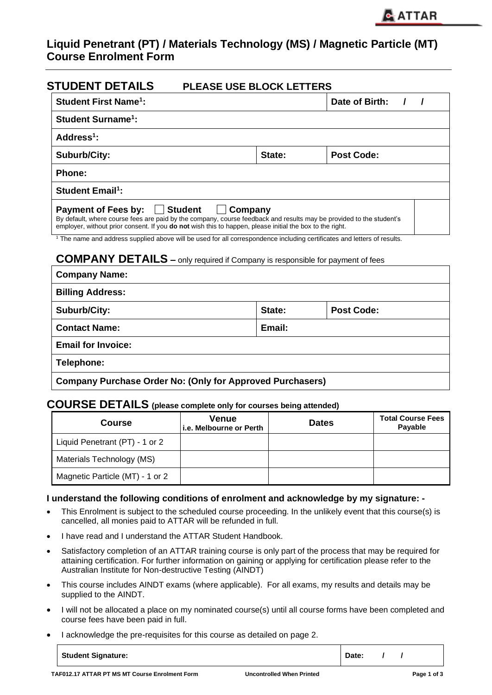# **Liquid Penetrant (PT) / Materials Technology (MS) / Magnetic Particle (MT) Course Enrolment Form**

| <b>STUDENT DETAILS</b><br><b>PLEASE USE BLOCK LETTERS</b>                                                                                                                                                                                                                  |         |                            |
|----------------------------------------------------------------------------------------------------------------------------------------------------------------------------------------------------------------------------------------------------------------------------|---------|----------------------------|
| <b>Student First Name<sup>1</sup>:</b>                                                                                                                                                                                                                                     |         | Date of Birth:<br>$\prime$ |
| <b>Student Surname<sup>1</sup>:</b>                                                                                                                                                                                                                                        |         |                            |
| Address <sup>1</sup> :                                                                                                                                                                                                                                                     |         |                            |
| <b>Suburb/City:</b>                                                                                                                                                                                                                                                        | State:  | <b>Post Code:</b>          |
| Phone:                                                                                                                                                                                                                                                                     |         |                            |
| <b>Student Email<sup>1</sup>:</b>                                                                                                                                                                                                                                          |         |                            |
| <b>Payment of Fees by:</b><br>│ Student<br>By default, where course fees are paid by the company, course feedback and results may be provided to the student's<br>employer, without prior consent. If you do not wish this to happen, please initial the box to the right. | Company |                            |
| <sup>1</sup> The name and address supplied above will be used for all correspondence including certificates and letters of results.<br><b>COMPANY DETAILS</b> - only required if Company is responsible for payment of fees                                                |         |                            |
| <b>Company Name:</b>                                                                                                                                                                                                                                                       |         |                            |
| <b>Billing Address:</b>                                                                                                                                                                                                                                                    |         |                            |
| <b>Suburb/City:</b>                                                                                                                                                                                                                                                        | State:  | <b>Post Code:</b>          |
| <b>Contact Name:</b><br>Email:                                                                                                                                                                                                                                             |         |                            |
| <b>Email for Invoice:</b>                                                                                                                                                                                                                                                  |         |                            |
| Telephone:                                                                                                                                                                                                                                                                 |         |                            |
| <b>Company Purchase Order No: (Only for Approved Purchasers)</b>                                                                                                                                                                                                           |         |                            |

## **COURSE DETAILS (please complete only for courses being attended)**

| <b>Course</b>                   | <b>Venue</b><br>i.e. Melbourne or Perth | <b>Dates</b> | <b>Total Course Fees</b><br>Payable |
|---------------------------------|-----------------------------------------|--------------|-------------------------------------|
| Liquid Penetrant (PT) - 1 or 2  |                                         |              |                                     |
| Materials Technology (MS)       |                                         |              |                                     |
| Magnetic Particle (MT) - 1 or 2 |                                         |              |                                     |

### **I understand the following conditions of enrolment and acknowledge by my signature: -**

- This Enrolment is subject to the scheduled course proceeding. In the unlikely event that this course(s) is cancelled, all monies paid to ATTAR will be refunded in full.
- I have read and I understand the ATTAR Student Handbook.
- Satisfactory completion of an ATTAR training course is only part of the process that may be required for attaining certification. For further information on gaining or applying for certification please refer to the Australian Institute for Non-destructive Testing (AINDT)
- This course includes AINDT exams (where applicable). For all exams, my results and details may be supplied to the AINDT.
- I will not be allocated a place on my nominated course(s) until all course forms have been completed and course fees have been paid in full.
- I acknowledge the pre-requisites for this course as detailed on page 2.

**Student Signature:**  $\begin{array}{ccc} & & | & \text{Date:} & / & / \\ \end{array}$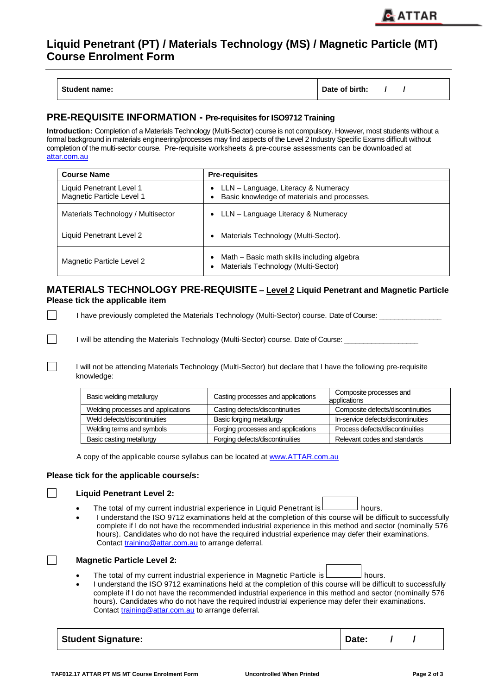## **Liquid Penetrant (PT) / Materials Technology (MS) / Magnetic Particle (MT) Course Enrolment Form**

| <b>Student name:</b> | Date of birth: |  |  |  |
|----------------------|----------------|--|--|--|
|----------------------|----------------|--|--|--|

### **PRE-REQUISITE INFORMATION - Pre-requisites for ISO9712 Training**

**Introduction:** Completion of a Materials Technology (Multi-Sector) course is not compulsory. However, most students without a formal background in materials engineering/processes may find aspects of the Level 2 Industry Specific Exams difficult without completion of the multi-sector course. Pre-requisite worksheets & pre-course assessments can be downloaded at [attar.com.au](http://www.attar.com.au/Download-Forms.aspx)

| <b>Course Name</b>                                    | <b>Pre-requisites</b>                                                                                        |  |
|-------------------------------------------------------|--------------------------------------------------------------------------------------------------------------|--|
| Liquid Penetrant Level 1<br>Magnetic Particle Level 1 | LLN – Language, Literacy & Numeracy<br>$\bullet$<br>Basic knowledge of materials and processes.<br>$\bullet$ |  |
| Materials Technology / Multisector                    | LLN – Language Literacy & Numeracy<br>$\bullet$                                                              |  |
| Liquid Penetrant Level 2                              | Materials Technology (Multi-Sector).<br>$\bullet$                                                            |  |
| Magnetic Particle Level 2                             | Math – Basic math skills including algebra<br>$\bullet$<br>Materials Technology (Multi-Sector)<br>$\bullet$  |  |

**MATERIALS TECHNOLOGY PRE-REQUISITE – Level 2 Liquid Penetrant and Magnetic Particle Please tick the applicable item**

I have previously completed the Materials Technology (Multi-Sector) course. Date of Course:

I will be attending the Materials Technology (Multi-Sector) course. Date of Course:

I will not be attending Materials Technology (Multi-Sector) but declare that I have the following pre-requisite knowledge:

| Basic welding metallurgy                                        | Casting processes and applications | Composite processes and<br>applications |
|-----------------------------------------------------------------|------------------------------------|-----------------------------------------|
| Welding processes and applications                              | Casting defects/discontinuities    | Composite defects/discontinuities       |
| Weld defects/discontinuities                                    | Basic forging metallurgy           |                                         |
| Forging processes and applications<br>Welding terms and symbols |                                    | Process defects/discontinuities         |
| <b>Basic casting metallurgy</b>                                 | Forging defects/discontinuities    | Relevant codes and standards            |

A copy of the applicable course syllabus can be located at [www.ATTAR.com.au](file://///Attarserver/attar%20data/ATTAR%20TRAINING/AppData/Local/Microsoft/Windows/Temporary%20Internet%20Files/Content.Outlook/EGAJDG1P/www.ATTAR.com.au)

#### **Please tick for the applicable course/s:**

#### **Liquid Penetrant Level 2:**

 $\Box$ 

 $\Box$ 

 $\Box$ 

 $\Box$ 

 $\Box$ 

- Fhe total of my current industrial experience in Liquid Penetrant is hours.
- I understand the ISO 9712 examinations held at the completion of this course will be difficult to successfully complete if I do not have the recommended industrial experience in this method and sector (nominally 576 hours). Candidates who do not have the required industrial experience may defer their examinations. Contact [training@attar.com.au](mailto:training@attar.com.au) to arrange deferral.



- The total of my current industrial experience in Magnetic Particle is  $\Box$  hours.
- I understand the ISO 9712 examinations held at the completion of this course will be difficult to successfully complete if I do not have the recommended industrial experience in this method and sector (nominally 576 hours). Candidates who do not have the required industrial experience may defer their examinations. Contact [training@attar.com.au](mailto:training@attar.com.au) to arrange deferral.

| <b>Student Signature:</b> | Date: |
|---------------------------|-------|
|---------------------------|-------|